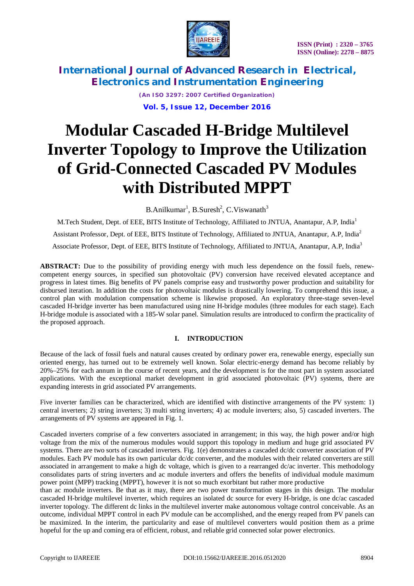



> *(An ISO 3297: 2007 Certified Organization)* **Vol. 5, Issue 12, December 2016**

# **Modular Cascaded H-Bridge Multilevel Inverter Topology to Improve the Utilization of Grid-Connected Cascaded PV Modules with Distributed MPPT**

B.Anilkumar<sup>1</sup>, B.Suresh<sup>2</sup>, C.Viswanath<sup>3</sup>

M.Tech Student, Dept. of EEE, BITS Institute of Technology, Affiliated to JNTUA, Anantapur, A.P, India<sup>1</sup> Assistant Professor, Dept. of EEE, BITS Institute of Technology, Affiliated to JNTUA, Anantapur, A.P, India<sup>2</sup> Associate Professor, Dept. of EEE, BITS Institute of Technology, Affiliated to JNTUA, Anantapur, A.P, India<sup>3</sup>

**ABSTRACT:** Due to the possibility of providing energy with much less dependence on the fossil fuels, renewcompetent energy sources, in specified sun photovoltaic (PV) conversion have received elevated acceptance and progress in latest times. Big benefits of PV panels comprise easy and trustworthy power production and suitability for disbursed iteration. In addition the costs for photovoltaic modules is drastically lowering. To comprehend this issue, a control plan with modulation compensation scheme is likewise proposed. An exploratory three-stage seven-level cascaded H-bridge inverter has been manufactured using nine H-bridge modules (three modules for each stage). Each H-bridge module is associated with a 185-W solar panel. Simulation results are introduced to confirm the practicality of the proposed approach.

### **I. INTRODUCTION**

Because of the lack of fossil fuels and natural causes created by ordinary power era, renewable energy, especially sun oriented energy, has turned out to be extremely well known. Solar electric-energy demand has become reliably by 20%–25% for each annum in the course of recent years, and the development is for the most part in system associated applications. With the exceptional market development in grid associated photovoltaic (PV) systems, there are expanding interests in grid associated PV arrangements.

Five inverter families can be characterized, which are identified with distinctive arrangements of the PV system: 1) central inverters; 2) string inverters; 3) multi string inverters; 4) ac module inverters; also, 5) cascaded inverters. The arrangements of PV systems are appeared in Fig. 1.

Cascaded inverters comprise of a few converters associated in arrangement; in this way, the high power and/or high voltage from the mix of the numerous modules would support this topology in medium and huge grid associated PV systems. There are two sorts of cascaded inverters. Fig. 1(e) demonstrates a cascaded dc/dc converter association of PV modules. Each PV module has its own particular dc/dc converter, and the modules with their related converters are still associated in arrangement to make a high dc voltage, which is given to a rearranged dc/ac inverter. This methodology consolidates parts of string inverters and ac module inverters and offers the benefits of individual module maximum power point (MPP) tracking (MPPT), however it is not so much exorbitant but rather more productive

than ac module inverters. Be that as it may, there are two power transformation stages in this design. The modular cascaded H-bridge multilevel inverter, which requires an isolated dc source for every H-bridge, is one dc/ac cascaded inverter topology. The different dc links in the multilevel inverter make autonomous voltage control conceivable. As an outcome, individual MPPT control in each PV module can be accomplished, and the energy reaped from PV panels can be maximized. In the interim, the particularity and ease of multilevel converters would position them as a prime hopeful for the up and coming era of efficient, robust, and reliable grid connected solar power electronics.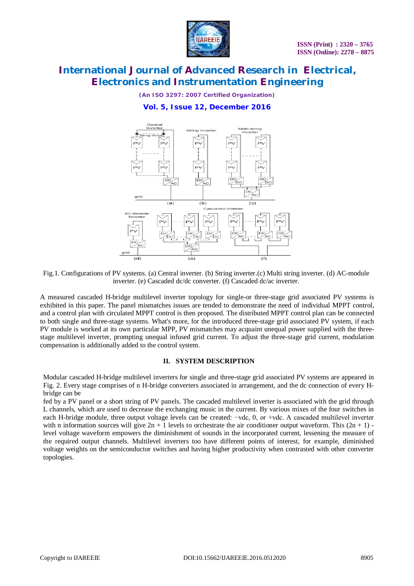

*(An ISO 3297: 2007 Certified Organization)*

### **Vol. 5, Issue 12, December 2016**



Fig.1. Configurations of PV systems. (a) Central inverter. (b) String inverter.(c) Multi string inverter. (d) AC-module inverter. (e) Cascaded dc/dc converter. (f) Cascaded dc/ac inverter.

A measured cascaded H-bridge multilevel inverter topology for single-or three-stage grid associated PV systems is exhibited in this paper. The panel mismatches issues are tended to demonstrate the need of individual MPPT control, and a control plan with circulated MPPT control is then proposed. The distributed MPPT control plan can be connected to both single and three-stage systems. What's more, for the introduced three-stage grid associated PV system, if each PV module is worked at its own particular MPP, PV mismatches may acquaint unequal power supplied with the threestage multilevel inverter, prompting unequal infused grid current. To adjust the three-stage grid current, modulation compensation is additionally added to the control system.

### **II. SYSTEM DESCRIPTION**

Modular cascaded H-bridge multilevel inverters for single and three-stage grid associated PV systems are appeared in Fig. 2. Every stage comprises of n H-bridge converters associated in arrangement, and the dc connection of every Hbridge can be

fed by a PV panel or a short string of PV panels. The cascaded multilevel inverter is associated with the grid through L channels, which are used to decrease the exchanging music in the current. By various mixes of the four switches in each H-bridge module, three output voltage levels can be created: −vdc, 0, or +vdc. A cascaded multilevel inverter with n information sources will give  $2n + 1$  levels to orchestrate the air conditioner output waveform. This  $(2n + 1)$  level voltage waveform empowers the diminishment of sounds in the incorporated current, lessening the measure of the required output channels. Multilevel inverters too have different points of interest, for example, diminished voltage weights on the semiconductor switches and having higher productivity when contrasted with other converter topologies.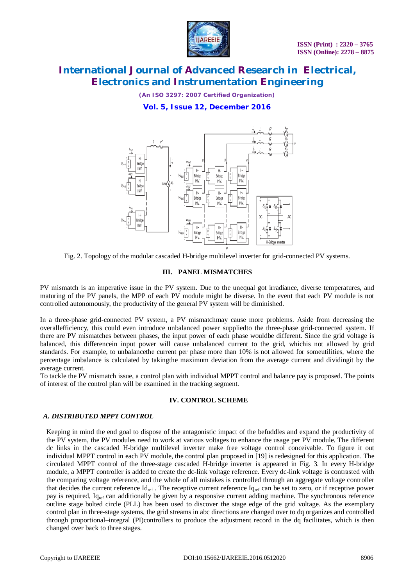

*(An ISO 3297: 2007 Certified Organization)*

### **Vol. 5, Issue 12, December 2016**



Fig. 2. Topology of the modular cascaded H-bridge multilevel inverter for grid-connected PV systems.

#### **III. PANEL MISMATCHES**

PV mismatch is an imperative issue in the PV system. Due to the unequal got irradiance, diverse temperatures, and maturing of the PV panels, the MPP of each PV module might be diverse. In the event that each PV module is not controlled autonomously, the productivity of the general PV system will be diminished.

In a three-phase grid-connected PV system, a PV mismatchmay cause more problems. Aside from decreasing the overallefficiency, this could even introduce unbalanced power suppliedto the three-phase grid-connected system. If there are PV mismatches between phases, the input power of each phase wouldbe different. Since the grid voltage is balanced, this differencein input power will cause unbalanced current to the grid, whichis not allowed by grid standards. For example, to unbalancethe current per phase more than 10% is not allowed for someutilities, where the percentage imbalance is calculated by takingthe maximum deviation from the average current and dividingit by the average current.

To tackle the PV mismatch issue, a control plan with individual MPPT control and balance pay is proposed. The points of interest of the control plan will be examined in the tracking segment.

#### **IV. CONTROL SCHEME**

### *A. DISTRIBUTED MPPT CONTROL*

Keeping in mind the end goal to dispose of the antagonistic impact of the befuddles and expand the productivity of the PV system, the PV modules need to work at various voltages to enhance the usage per PV module. The different dc links in the cascaded H-bridge multilevel inverter make free voltage control conceivable. To figure it out individual MPPT control in each PV module, the control plan proposed in [19] is redesigned for this application. The circulated MPPT control of the three-stage cascaded H-bridge inverter is appeared in Fig. 3. In every H-bridge module, a MPPT controller is added to create the dc-link voltage reference. Every dc-link voltage is contrasted with the comparing voltage reference, and the whole of all mistakes is controlled through an aggregate voltage controller that decides the current reference  $Id_{ref}$ . The receptive current reference  $Id_{ref}$  can be set to zero, or if receptive power pay is required,  $I_{q_{ref}}$  can additionally be given by a responsive current adding machine. The synchronous reference outline stage bolted circle (PLL) has been used to discover the stage edge of the grid voltage. As the exemplary control plan in three-stage systems, the grid streams in abc directions are changed over to dq organizes and controlled through proportional–integral (PI)controllers to produce the adjustment record in the dq facilitates, which is then changed over back to three stages.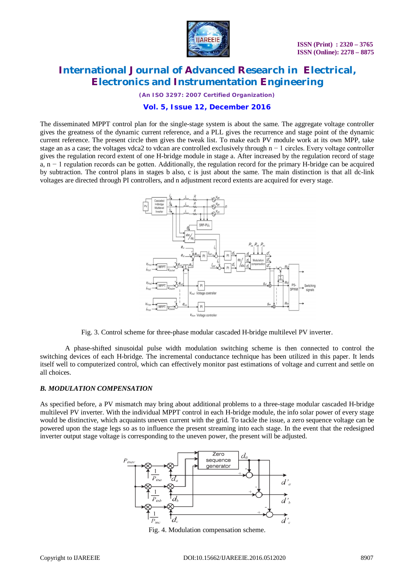

*(An ISO 3297: 2007 Certified Organization)*

### **Vol. 5, Issue 12, December 2016**

The disseminated MPPT control plan for the single-stage system is about the same. The aggregate voltage controller gives the greatness of the dynamic current reference, and a PLL gives the recurrence and stage point of the dynamic current reference. The present circle then gives the tweak list. To make each PV module work at its own MPP, take stage an as a case; the voltages vdca2 to vdcan are controlled exclusively through n − 1 circles. Every voltage controller gives the regulation record extent of one H-bridge module in stage a. After increased by the regulation record of stage a, n − 1 regulation records can be gotten. Additionally, the regulation record for the primary H-bridge can be acquired by subtraction. The control plans in stages b also, c is just about the same. The main distinction is that all dc-link voltages are directed through PI controllers, and n adjustment record extents are acquired for every stage.



Fig. 3. Control scheme for three-phase modular cascaded H-bridge multilevel PV inverter.

A phase-shifted sinusoidal pulse width modulation switching scheme is then connected to control the switching devices of each H-bridge. The incremental conductance technique has been utilized in this paper. It lends itself well to computerized control, which can effectively monitor past estimations of voltage and current and settle on all choices.

### *B. MODULATION COMPENSATION*

As specified before, a PV mismatch may bring about additional problems to a three-stage modular cascaded H-bridge multilevel PV inverter. With the individual MPPT control in each H-bridge module, the info solar power of every stage would be distinctive, which acquaints uneven current with the grid. To tackle the issue, a zero sequence voltage can be powered upon the stage legs so as to influence the present streaming into each stage. In the event that the redesigned inverter output stage voltage is corresponding to the uneven power, the present will be adjusted.



Fig. 4. Modulation compensation scheme.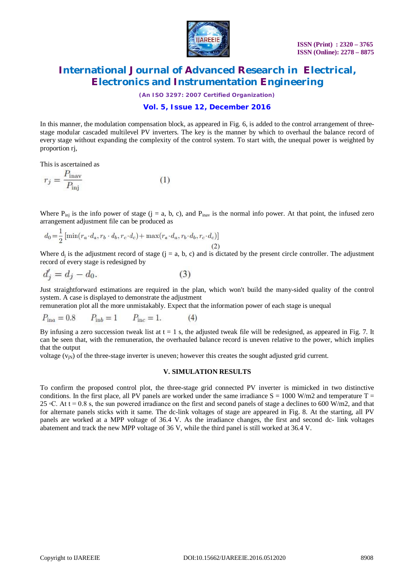

*(An ISO 3297: 2007 Certified Organization)*

### **Vol. 5, Issue 12, December 2016**

In this manner, the modulation compensation block, as appeared in Fig. 6, is added to the control arrangement of threestage modular cascaded multilevel PV inverters. The key is the manner by which to overhaul the balance record of every stage without expanding the complexity of the control system. To start with, the unequal power is weighted by proportion rj,

This is ascertained as

$$
r_j = \frac{P_{\text{inav}}}{P_{\text{inj}}}
$$
 (1)

Where  $P_{\text{ini}}$  is the info power of stage (j = a, b, c), and  $P_{\text{inay}}$  is the normal info power. At that point, the infused zero arrangement adjustment file can be produced as

$$
d_0 = \frac{1}{2} \left[ \min(r_a \cdot d_a, r_b \cdot d_b, r_c \cdot d_c) + \max(r_a \cdot d_a, r_b \cdot d_b, r_c \cdot d_c) \right]
$$
\n
$$
(2)
$$

Where  $d_j$  is the adjustment record of stage  $(j = a, b, c)$  and is dictated by the present circle controller. The adjustment record of every stage is redesigned by

$$
d_j' = d_j - d_0. \tag{3}
$$

Just straightforward estimations are required in the plan, which won't build the many-sided quality of the control system. A case is displayed to demonstrate the adjustment

remuneration plot all the more unmistakably. Expect that the information power of each stage is unequal

$$
P_{\text{in}a} = 0.8 \qquad P_{\text{in}b} = 1 \qquad P_{\text{inc}} = 1. \tag{4}
$$

By infusing a zero succession tweak list at  $t = 1$  s, the adjusted tweak file will be redesigned, as appeared in Fig. 7. It can be seen that, with the remuneration, the overhauled balance record is uneven relative to the power, which implies that the output

voltage  $(v_{in})$  of the three-stage inverter is uneven; however this creates the sought adjusted grid current.

#### **V. SIMULATION RESULTS**

To confirm the proposed control plot, the three-stage grid connected PV inverter is mimicked in two distinctive conditions. In the first place, all PV panels are worked under the same irradiance  $S = 1000$  W/m2 and temperature T = 25  $\degree$ C. At t = 0.8 s, the sun powered irradiance on the first and second panels of stage a declines to 600 W/m2, and that for alternate panels sticks with it same. The dc-link voltages of stage are appeared in Fig. 8. At the starting, all PV panels are worked at a MPP voltage of 36.4 V. As the irradiance changes, the first and second dc- link voltages abatement and track the new MPP voltage of 36 V, while the third panel is still worked at 36.4 V.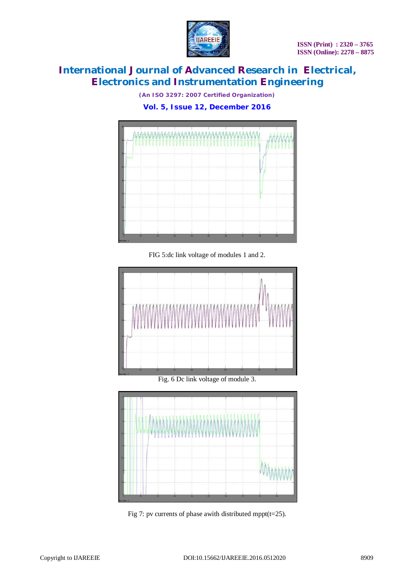

*(An ISO 3297: 2007 Certified Organization)*

**Vol. 5, Issue 12, December 2016**



FIG 5:dc link voltage of modules 1 and 2.





Fig 7: pv currents of phase awith distributed mppt(t=25).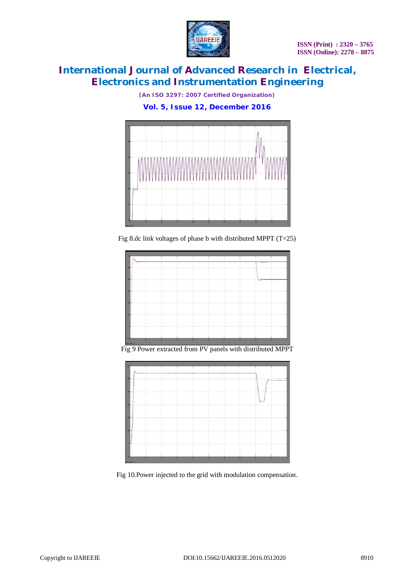

*(An ISO 3297: 2007 Certified Organization)*

**Vol. 5, Issue 12, December 2016**



Fig 8.dc link voltages of phase b with distributed MPPT (T=25)



Fig 9 Power extracted from PV panels with distributed MPPT



Fig 10.Power injected to the grid with modulation compensation.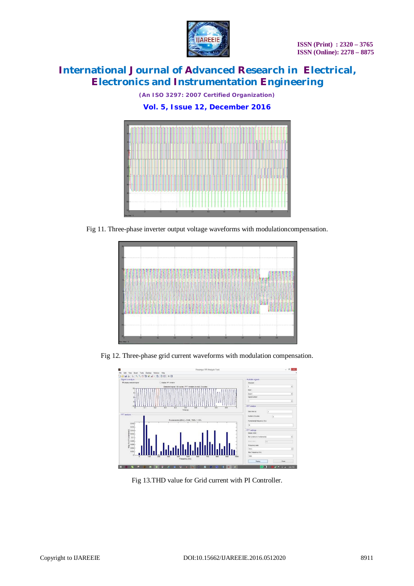

*(An ISO 3297: 2007 Certified Organization)*

**Vol. 5, Issue 12, December 2016**

Fig 11. Three-phase inverter output voltage waveforms with modulationcompensation.



Fig 12. Three-phase grid current waveforms with modulation compensation.



Fig 13.THD value for Grid current with PI Controller.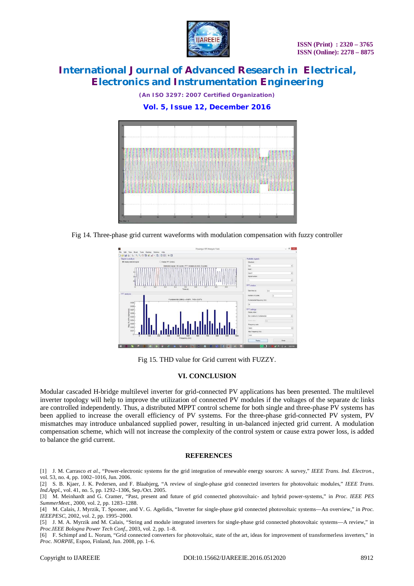

*(An ISO 3297: 2007 Certified Organization)*

**Vol. 5, Issue 12, December 2016**



Fig 14. Three-phase grid current waveforms with modulation compensation with fuzzy controller



Fig 15. THD value for Grid current with FUZZY.

### **VI. CONCLUSION**

Modular cascaded H-bridge multilevel inverter for grid-connected PV applications has been presented. The multilevel inverter topology will help to improve the utilization of connected PV modules if the voltages of the separate dc links are controlled independently. Thus, a distributed MPPT control scheme for both single and three-phase PV systems has been applied to increase the overall efficiency of PV systems. For the three-phase grid-connected PV system, PV mismatches may introduce unbalanced supplied power, resulting in un-balanced injected grid current. A modulation compensation scheme, which will not increase the complexity of the control system or cause extra power loss, is added to balance the grid current.

### **REFERENCES**

[1] J. M. Carrasco *et al.*, "Power-electronic systems for the grid integration of renewable energy sources: A survey," *IEEE Trans. Ind. Electron.*, vol. 53, no. 4, pp. 1002–1016, Jun. 2006.

<sup>[2]</sup> S. B. Kjaer, J. K. Pedersen, and F. Blaabjerg, "A review of single-phase grid connected inverters for photovoltaic modules," *IEEE Trans. Ind.Appl.*, vol. 41, no. 5, pp. 1292–1306, Sep./Oct. 2005.

<sup>[3]</sup> M. Meinhardt and G. Cramer, "Past, present and future of grid connected photovoltaic- and hybrid power-systems," in *Proc. IEEE PES SummerMeet.*, 2000, vol. 2, pp. 1283–1288.

<sup>[4]</sup> M. Calais, J. Myrzik, T. Spooner, and V. G. Agelidis, "Inverter for single-phase grid connected photovoltaic systems—An overview," in *Proc. IEEEPESC*, 2002, vol. 2, pp. 1995–2000.

<sup>[5]</sup> J. M. A. Myrzik and M. Calais, "String and module integrated inverters for single-phase grid connected photovoltaic systems—A review," in *Proc.IEEE Bologna Power Tech Conf.*, 2003, vol. 2, pp. 1–8.

<sup>[6]</sup> F. Schimpf and L. Norum, "Grid connected converters for photovoltaic, state of the art, ideas for improvement of transformerless inverters," in *Proc. NORPIE*, Espoo, Finland, Jun. 2008, pp. 1–6.